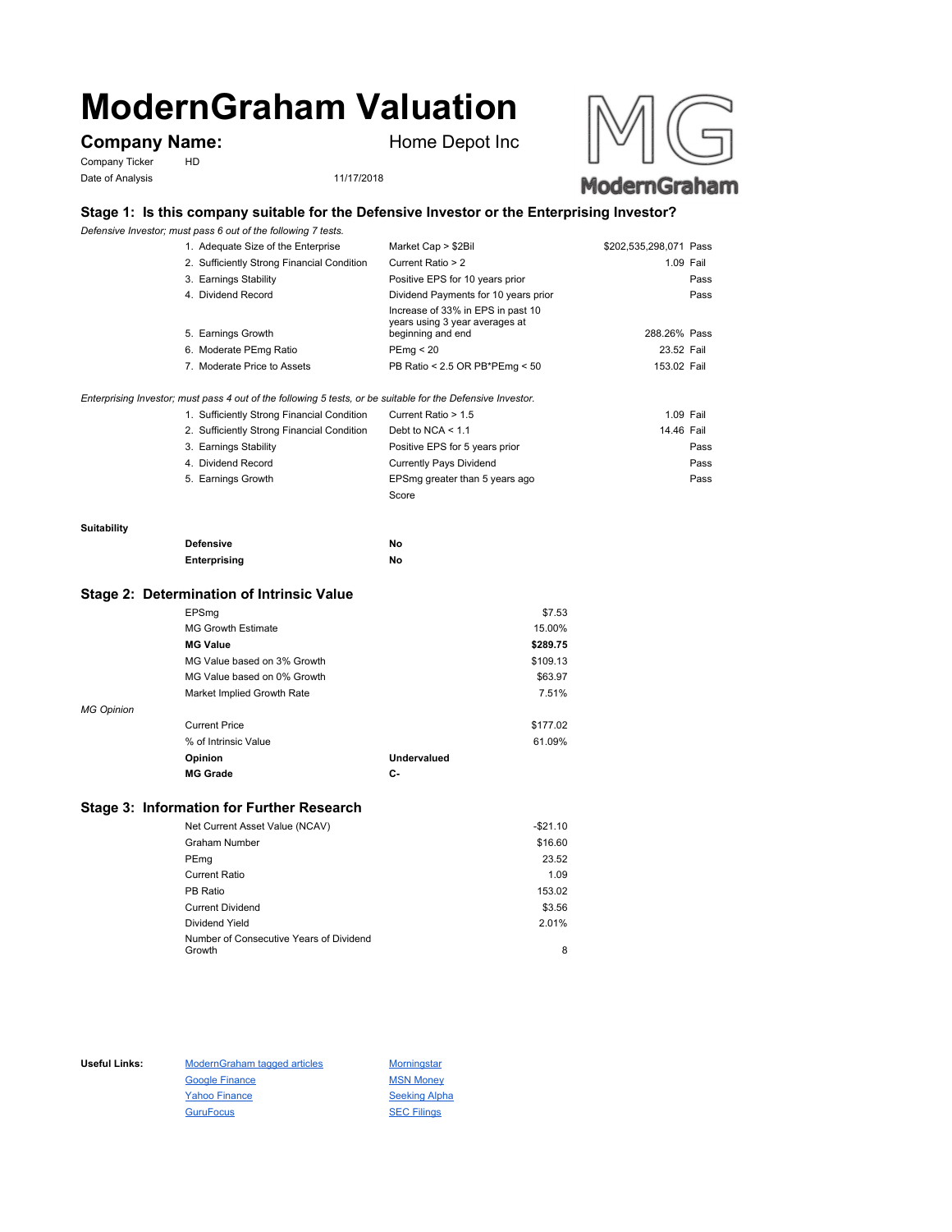# **ModernGraham Valuation**

# **Company Name:** Home Depot Inc

Company Ticker HD Date of Analysis 11/17/2018





# **Stage 1: Is this company suitable for the Defensive Investor or the Enterprising Investor?**

*Defensive Investor; must pass 6 out of the following 7 tests.*

| 1. Adequate Size of the Enterprise                                                                          | Market Cap > \$2Bil                                                                      | \$202,535,298,071 Pass |  |
|-------------------------------------------------------------------------------------------------------------|------------------------------------------------------------------------------------------|------------------------|--|
| 2. Sufficiently Strong Financial Condition                                                                  | Current Ratio > 2                                                                        | 1.09 Fail              |  |
| 3. Earnings Stability                                                                                       | Positive EPS for 10 years prior                                                          | Pass                   |  |
| 4. Dividend Record                                                                                          | Dividend Payments for 10 years prior                                                     | Pass                   |  |
| 5. Earnings Growth                                                                                          | Increase of 33% in EPS in past 10<br>years using 3 year averages at<br>beginning and end | 288.26% Pass           |  |
| 6. Moderate PEmg Ratio                                                                                      | PEmg < 20                                                                                | 23.52 Fail             |  |
| 7. Moderate Price to Assets                                                                                 | PB Ratio < 2.5 OR PB*PEmg < 50                                                           | 153.02 Fail            |  |
| Enterprising Investor; must pass 4 out of the following 5 tests, or be suitable for the Defensive Investor. |                                                                                          |                        |  |

| 1. Sufficiently Strong Financial Condition | Current Ratio > 1.5            | 1.09 Fail  |
|--------------------------------------------|--------------------------------|------------|
| 2. Sufficiently Strong Financial Condition | Debt to NCA $<$ 1.1            | 14.46 Fail |
| 3. Earnings Stability                      | Positive EPS for 5 years prior | Pass       |
| 4. Dividend Record                         | <b>Currently Pays Dividend</b> | Pass       |
| 5. Earnings Growth                         | EPSmg greater than 5 years ago | Pass       |
|                                            | Score                          |            |

### **Suitability**

| <b>Defensive</b> | Νo |
|------------------|----|
| Enterprising     | Νo |

#### **Stage 2: Determination of Intrinsic Value**

|                   | EPSmg                       |             | \$7.53   |
|-------------------|-----------------------------|-------------|----------|
|                   | <b>MG Growth Estimate</b>   |             | 15.00%   |
|                   | <b>MG Value</b>             |             | \$289.75 |
|                   | MG Value based on 3% Growth |             | \$109.13 |
|                   | MG Value based on 0% Growth |             | \$63.97  |
|                   | Market Implied Growth Rate  |             | 7.51%    |
| <b>MG Opinion</b> |                             |             |          |
|                   | <b>Current Price</b>        |             | \$177.02 |
|                   | % of Intrinsic Value        |             | 61.09%   |
|                   | Opinion                     | Undervalued |          |
|                   | <b>MG Grade</b>             | С-          |          |
|                   |                             |             |          |

## **Stage 3: Information for Further Research**

| Net Current Asset Value (NCAV)          | $-$21.10$ |
|-----------------------------------------|-----------|
| Graham Number                           | \$16.60   |
| PEmg                                    | 23.52     |
| Current Ratio                           | 1.09      |
| PB Ratio                                | 153.02    |
| <b>Current Dividend</b>                 | \$3.56    |
| Dividend Yield                          | 2.01%     |
| Number of Consecutive Years of Dividend |           |
| Growth                                  | 8         |

Useful Links: ModernGraham tagged articles Morningstar Google Finance MSN Money Yahoo Finance Seeking Alpha GuruFocus SEC Filings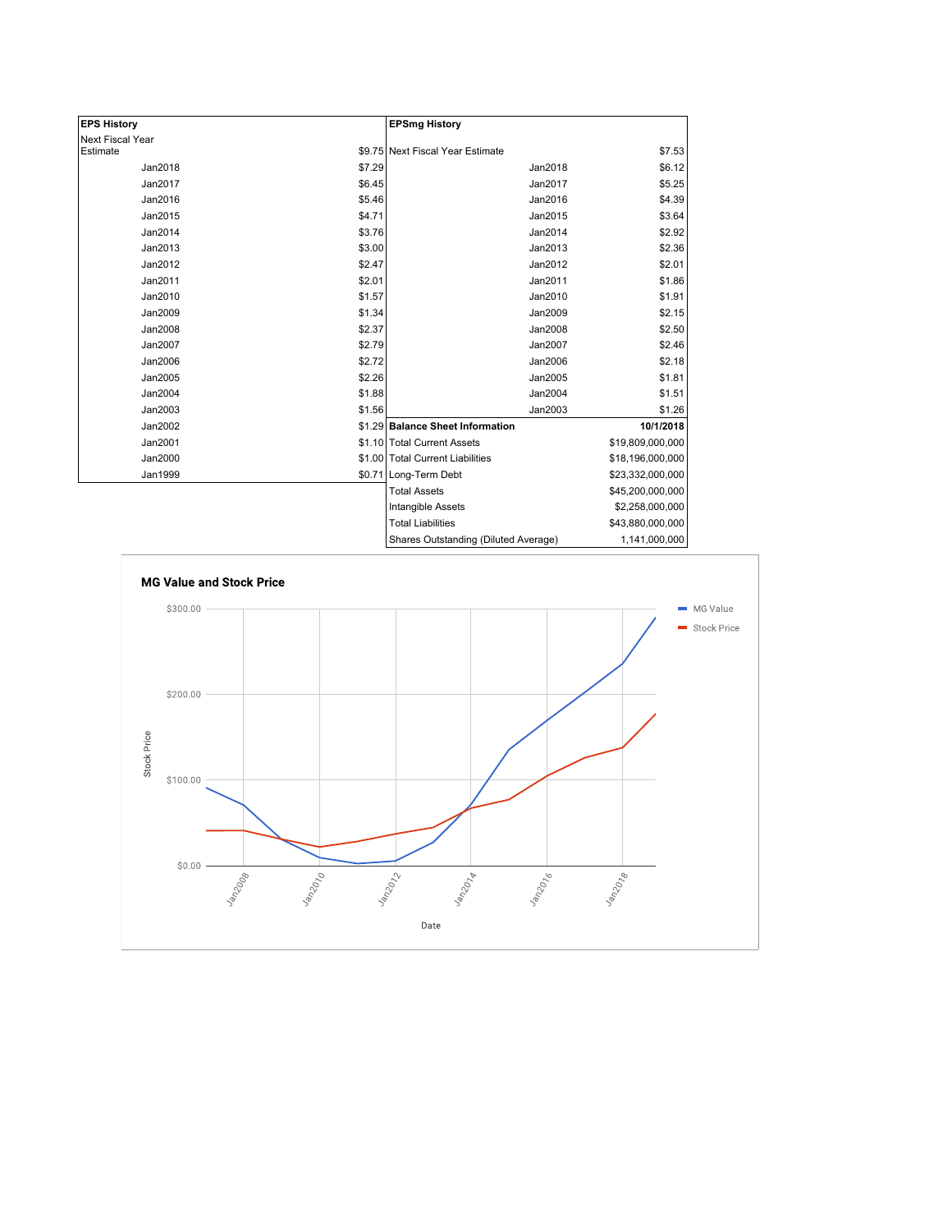| <b>EPS History</b>      |        | <b>EPSmg History</b>                 |                  |
|-------------------------|--------|--------------------------------------|------------------|
| <b>Next Fiscal Year</b> |        |                                      |                  |
| Estimate                |        | \$9.75 Next Fiscal Year Estimate     | \$7.53           |
| Jan2018                 | \$7.29 | Jan2018                              | \$6.12           |
| Jan2017                 | \$6.45 | Jan2017                              | \$5.25           |
| Jan2016                 | \$5.46 | Jan2016                              | \$4.39           |
| Jan2015                 | \$4.71 | Jan2015                              | \$3.64           |
| Jan2014                 | \$3.76 | Jan2014                              | \$2.92           |
| Jan2013                 | \$3.00 | Jan2013                              | \$2.36           |
| Jan2012                 | \$2.47 | Jan2012                              | \$2.01           |
| Jan2011                 | \$2.01 | Jan2011                              | \$1.86           |
| Jan2010                 | \$1.57 | Jan2010                              | \$1.91           |
| Jan2009                 | \$1.34 | Jan2009                              | \$2.15           |
| Jan2008                 | \$2.37 | Jan2008                              | \$2.50           |
| Jan2007                 | \$2.79 | Jan2007                              | \$2.46           |
| Jan2006                 | \$2.72 | Jan2006                              | \$2.18           |
| Jan2005                 | \$2.26 | Jan2005                              | \$1.81           |
| Jan2004                 | \$1.88 | Jan2004                              | \$1.51           |
| Jan2003                 | \$1.56 | Jan2003                              | \$1.26           |
| Jan2002                 |        | \$1.29 Balance Sheet Information     | 10/1/2018        |
| Jan2001                 |        | \$1.10 Total Current Assets          | \$19,809,000,000 |
| Jan2000                 |        | \$1.00 Total Current Liabilities     | \$18,196,000,000 |
| Jan1999                 |        | \$0.71 Long-Term Debt                | \$23,332,000,000 |
|                         |        | <b>Total Assets</b>                  | \$45,200,000,000 |
|                         |        | Intangible Assets                    | \$2,258,000,000  |
|                         |        | <b>Total Liabilities</b>             | \$43,880,000,000 |
|                         |        | Shares Outstanding (Diluted Average) | 1,141,000,000    |